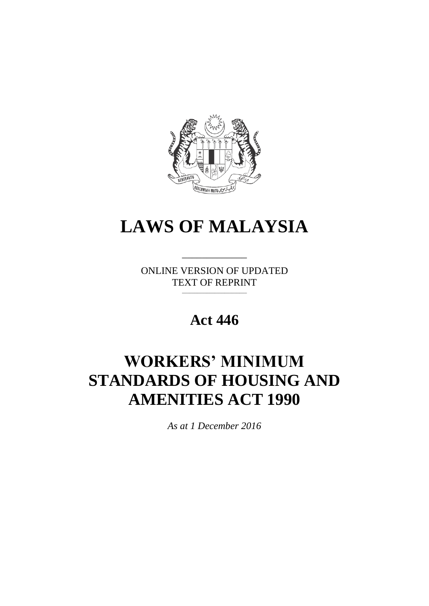

# **LAWS OF MALAYSIA**

ONLINE VERSION OF UPDATED TEXT OF REPRINT \_\_\_\_\_\_\_\_\_\_\_\_\_\_\_\_\_\_\_\_\_\_\_\_\_\_

\_\_\_\_\_\_\_\_\_\_\_\_\_

**Act 446**

# **WORKERS' MINIMUM STANDARDS OF HOUSING AND AMENITIES ACT 1990**

*As at 1 December 2016*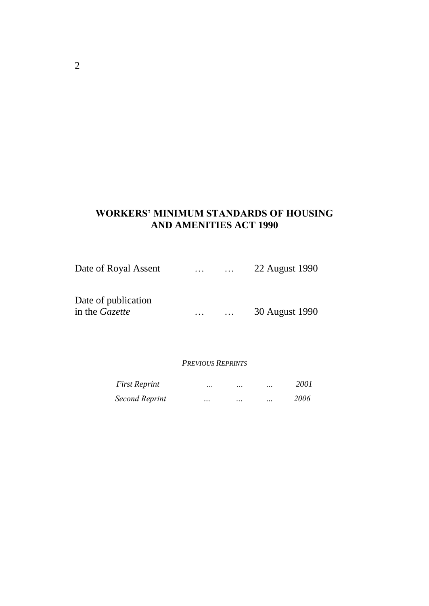# **WORKERS' MINIMUM STANDARDS OF HOUSING AND AMENITIES ACT 1990**

| Date of Royal Assent                         | $\sim$ $\sim$ $\sim$ | $\cdots$ | 22 August 1990 |
|----------------------------------------------|----------------------|----------|----------------|
| Date of publication<br>in the <i>Gazette</i> |                      |          | 30 August 1990 |

#### *PREVIOUS REPRINTS*

| <b>First Reprint</b> | $\cdots$ | $\ddotsc$ | $\ddotsc$ | 2001 |
|----------------------|----------|-----------|-----------|------|
| Second Reprint       | $\cdots$ | $\ddotsc$ | $\ddotsc$ | 2006 |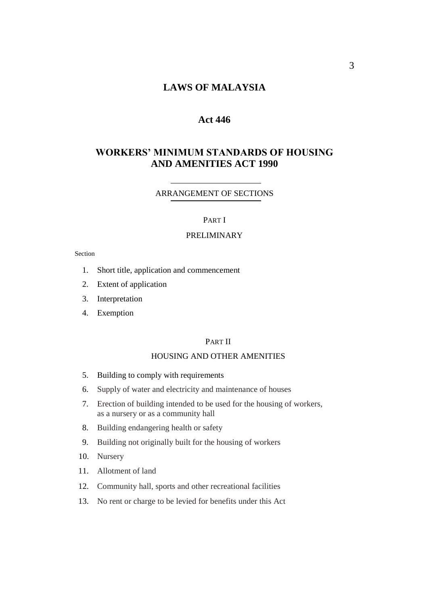# **LAWS OF MALAYSIA**

## **Act 446**

## **WORKERS' MINIMUM STANDARDS OF HOUSING AND AMENITIES ACT 1990**

#### ARRANGEMENT OF SECTIONS

#### PART I

#### PRELIMINARY

#### Section

- 1. Short title, application and commencement
- 2. Extent of application
- 3. Interpretation
- 4. Exemption

#### PART II

#### HOUSING AND OTHER AMENITIES

- 5. Building to comply with requirements
- 6. Supply of water and electricity and maintenance of houses
- 7. Erection of building intended to be used for the housing of workers, as a nursery or as a community hall
- 8. Building endangering health or safety
- 9. Building not originally built for the housing of workers
- 10. Nursery
- 11. Allotment of land
- 12. Community hall, sports and other recreational facilities
- 13. No rent or charge to be levied for benefits under this Act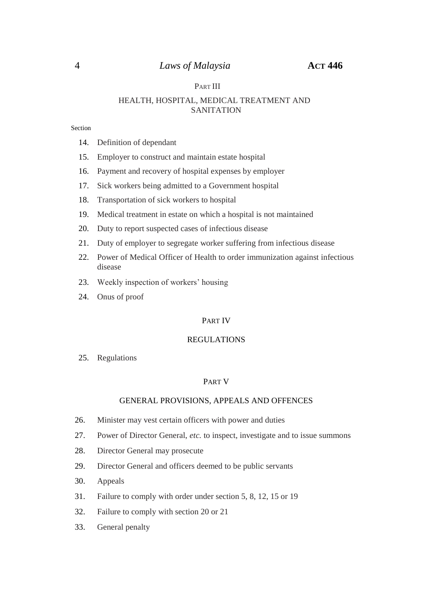#### PART III

#### HEALTH, HOSPITAL, MEDICAL TREATMENT AND SANITATION

#### Section

- 14. Definition of dependant
- 15. Employer to construct and maintain estate hospital
- 16. Payment and recovery of hospital expenses by employer
- 17. Sick workers being admitted to a Government hospital
- 18. Transportation of sick workers to hospital
- 19. Medical treatment in estate on which a hospital is not maintained
- 20. Duty to report suspected cases of infectious disease
- 21. Duty of employer to segregate worker suffering from infectious disease
- 22. Power of Medical Officer of Health to order immunization against infectious disease
- 23. Weekly inspection of workers' housing
- 24. Onus of proof

#### PART IV

#### REGULATIONS

25. Regulations

#### PART V

#### GENERAL PROVISIONS, APPEALS AND OFFENCES

- 26. Minister may vest certain officers with power and duties
- 27. Power of Director General, *etc.* to inspect, investigate and to issue summons
- 28. Director General may prosecute
- 29. Director General and officers deemed to be public servants
- 30. Appeals
- 31. Failure to comply with order under section 5, 8, 12, 15 or 19
- 32. Failure to comply with section 20 or 21
- 33. General penalty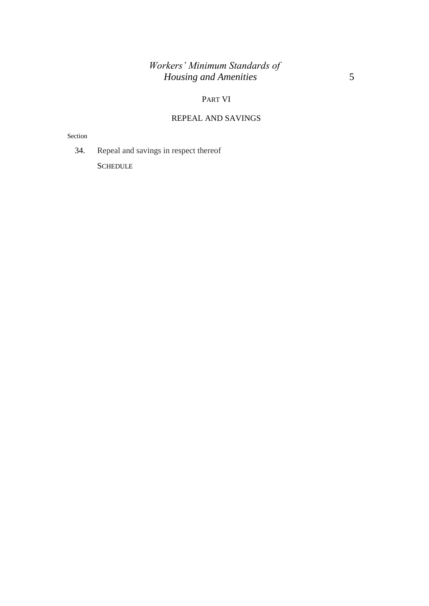# *Workers' Minimum Standards of Housing and Amenities* 5

#### PART VI

# REPEAL AND SAVINGS

Section

34. Repeal and savings in respect thereof

**SCHEDULE**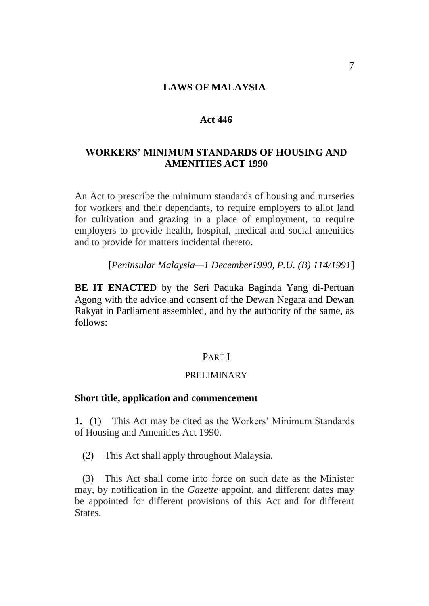## **LAWS OF MALAYSIA**

#### **Act 446**

## **WORKERS' MINIMUM STANDARDS OF HOUSING AND AMENITIES ACT 1990**

An Act to prescribe the minimum standards of housing and nurseries for workers and their dependants, to require employers to allot land for cultivation and grazing in a place of employment, to require employers to provide health, hospital, medical and social amenities and to provide for matters incidental thereto.

[*Peninsular Malaysia—1 December1990, P.U. (B) 114/1991*]

**BE IT ENACTED** by the Seri Paduka Baginda Yang di-Pertuan Agong with the advice and consent of the Dewan Negara and Dewan Rakyat in Parliament assembled, and by the authority of the same, as follows:

#### PART I

#### PRELIMINARY

#### **Short title, application and commencement**

**1.** (1) This Act may be cited as the Workers' Minimum Standards of Housing and Amenities Act 1990.

(2) This Act shall apply throughout Malaysia.

(3) This Act shall come into force on such date as the Minister may, by notification in the *Gazette* appoint, and different dates may be appointed for different provisions of this Act and for different States.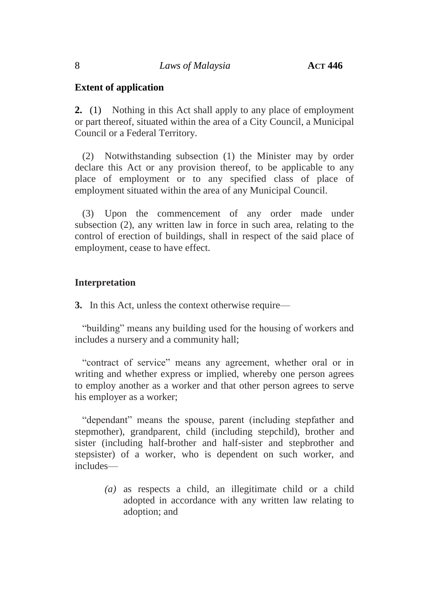# **Extent of application**

**2.** (1) Nothing in this Act shall apply to any place of employment or part thereof, situated within the area of a City Council, a Municipal Council or a Federal Territory.

(2) Notwithstanding subsection (1) the Minister may by order declare this Act or any provision thereof, to be applicable to any place of employment or to any specified class of place of employment situated within the area of any Municipal Council.

(3) Upon the commencement of any order made under subsection (2), any written law in force in such area, relating to the control of erection of buildings, shall in respect of the said place of employment, cease to have effect.

# **Interpretation**

**3.** In this Act, unless the context otherwise require—

"building" means any building used for the housing of workers and includes a nursery and a community hall;

"contract of service" means any agreement, whether oral or in writing and whether express or implied, whereby one person agrees to employ another as a worker and that other person agrees to serve his employer as a worker;

"dependant" means the spouse, parent (including stepfather and stepmother), grandparent, child (including stepchild), brother and sister (including half-brother and half-sister and stepbrother and stepsister) of a worker, who is dependent on such worker, and includes—

> *(a)* as respects a child, an illegitimate child or a child adopted in accordance with any written law relating to adoption; and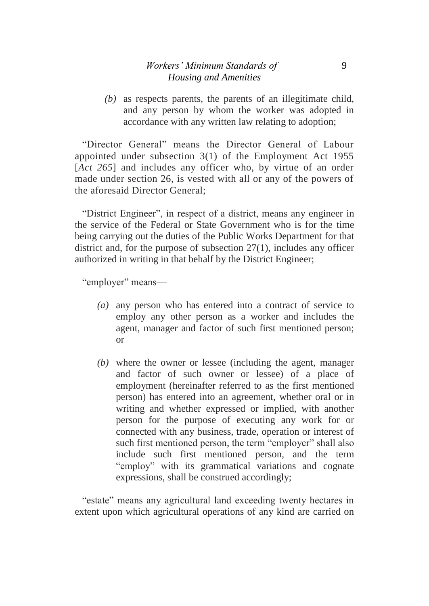*(b)* as respects parents, the parents of an illegitimate child, and any person by whom the worker was adopted in accordance with any written law relating to adoption;

"Director General" means the Director General of Labour appointed under subsection 3(1) of the Employment Act 1955 [*Act 265*] and includes any officer who, by virtue of an order made under section 26, is vested with all or any of the powers of the aforesaid Director General;

"District Engineer", in respect of a district, means any engineer in the service of the Federal or State Government who is for the time being carrying out the duties of the Public Works Department for that district and, for the purpose of subsection 27(1), includes any officer authorized in writing in that behalf by the District Engineer;

"employer" means—

- *(a)* any person who has entered into a contract of service to employ any other person as a worker and includes the agent, manager and factor of such first mentioned person; or
- *(b)* where the owner or lessee (including the agent, manager and factor of such owner or lessee) of a place of employment (hereinafter referred to as the first mentioned person) has entered into an agreement, whether oral or in writing and whether expressed or implied, with another person for the purpose of executing any work for or connected with any business, trade, operation or interest of such first mentioned person, the term "employer" shall also include such first mentioned person, and the term "employ" with its grammatical variations and cognate expressions, shall be construed accordingly;

"estate" means any agricultural land exceeding twenty hectares in extent upon which agricultural operations of any kind are carried on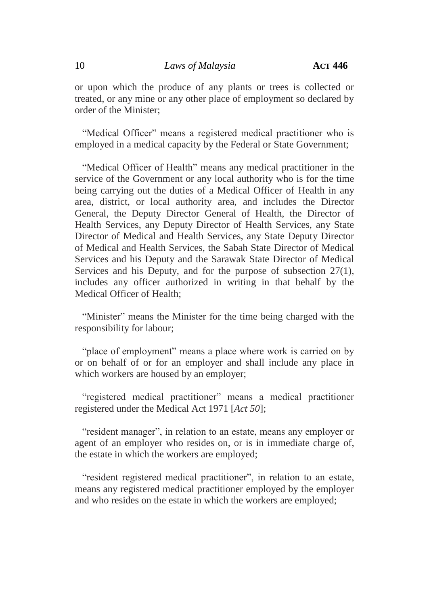or upon which the produce of any plants or trees is collected or treated, or any mine or any other place of employment so declared by order of the Minister;

"Medical Officer" means a registered medical practitioner who is employed in a medical capacity by the Federal or State Government;

"Medical Officer of Health" means any medical practitioner in the service of the Government or any local authority who is for the time being carrying out the duties of a Medical Officer of Health in any area, district, or local authority area, and includes the Director General, the Deputy Director General of Health, the Director of Health Services, any Deputy Director of Health Services, any State Director of Medical and Health Services, any State Deputy Director of Medical and Health Services, the Sabah State Director of Medical Services and his Deputy and the Sarawak State Director of Medical Services and his Deputy, and for the purpose of subsection 27(1), includes any officer authorized in writing in that behalf by the Medical Officer of Health;

"Minister" means the Minister for the time being charged with the responsibility for labour;

"place of employment" means a place where work is carried on by or on behalf of or for an employer and shall include any place in which workers are housed by an employer;

"registered medical practitioner" means a medical practitioner registered under the Medical Act 1971 [*Act 50*];

"resident manager", in relation to an estate, means any employer or agent of an employer who resides on, or is in immediate charge of, the estate in which the workers are employed;

"resident registered medical practitioner", in relation to an estate, means any registered medical practitioner employed by the employer and who resides on the estate in which the workers are employed;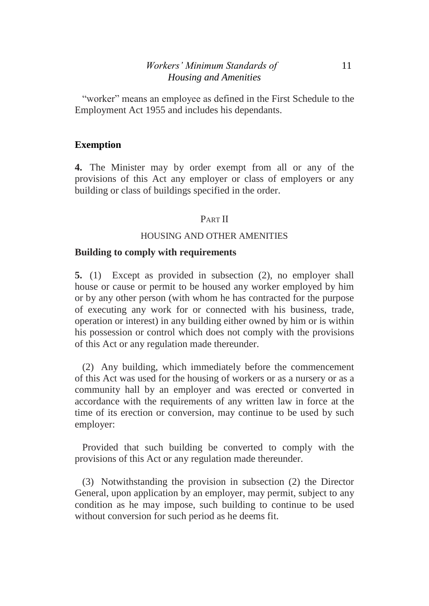## *Workers' Minimum Standards of* 11 *Housing and Amenities*

"worker" means an employee as defined in the First Schedule to the Employment Act 1955 and includes his dependants.

## **Exemption**

**4.** The Minister may by order exempt from all or any of the provisions of this Act any employer or class of employers or any building or class of buildings specified in the order.

## PART II

#### HOUSING AND OTHER AMENITIES

#### **Building to comply with requirements**

**5.** (1) Except as provided in subsection (2), no employer shall house or cause or permit to be housed any worker employed by him or by any other person (with whom he has contracted for the purpose of executing any work for or connected with his business, trade, operation or interest) in any building either owned by him or is within his possession or control which does not comply with the provisions of this Act or any regulation made thereunder.

(2) Any building, which immediately before the commencement of this Act was used for the housing of workers or as a nursery or as a community hall by an employer and was erected or converted in accordance with the requirements of any written law in force at the time of its erection or conversion, may continue to be used by such employer:

Provided that such building be converted to comply with the provisions of this Act or any regulation made thereunder.

(3) Notwithstanding the provision in subsection (2) the Director General, upon application by an employer, may permit, subject to any condition as he may impose, such building to continue to be used without conversion for such period as he deems fit.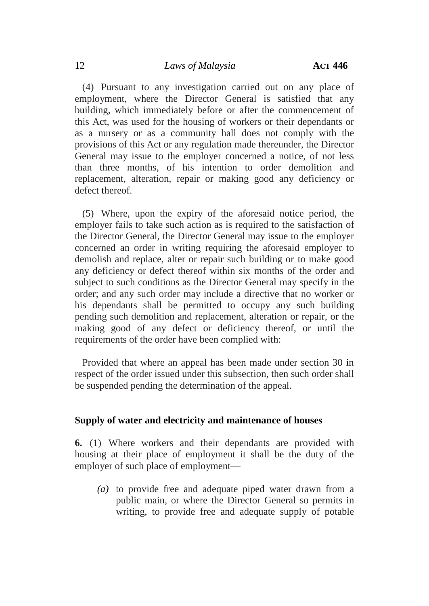(4) Pursuant to any investigation carried out on any place of employment, where the Director General is satisfied that any building, which immediately before or after the commencement of this Act, was used for the housing of workers or their dependants or as a nursery or as a community hall does not comply with the provisions of this Act or any regulation made thereunder, the Director General may issue to the employer concerned a notice, of not less than three months, of his intention to order demolition and replacement, alteration, repair or making good any deficiency or defect thereof.

(5) Where, upon the expiry of the aforesaid notice period, the employer fails to take such action as is required to the satisfaction of the Director General, the Director General may issue to the employer concerned an order in writing requiring the aforesaid employer to demolish and replace, alter or repair such building or to make good any deficiency or defect thereof within six months of the order and subject to such conditions as the Director General may specify in the order; and any such order may include a directive that no worker or his dependants shall be permitted to occupy any such building pending such demolition and replacement, alteration or repair, or the making good of any defect or deficiency thereof, or until the requirements of the order have been complied with:

Provided that where an appeal has been made under section 30 in respect of the order issued under this subsection, then such order shall be suspended pending the determination of the appeal.

## **Supply of water and electricity and maintenance of houses**

**6.** (1) Where workers and their dependants are provided with housing at their place of employment it shall be the duty of the employer of such place of employment—

*(a)* to provide free and adequate piped water drawn from a public main, or where the Director General so permits in writing, to provide free and adequate supply of potable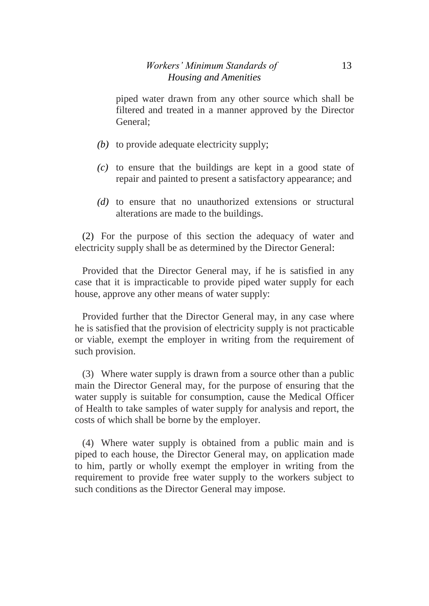piped water drawn from any other source which shall be filtered and treated in a manner approved by the Director General;

- *(b)* to provide adequate electricity supply;
- *(c)* to ensure that the buildings are kept in a good state of repair and painted to present a satisfactory appearance; and
- *(d)* to ensure that no unauthorized extensions or structural alterations are made to the buildings.

(2) For the purpose of this section the adequacy of water and electricity supply shall be as determined by the Director General:

Provided that the Director General may, if he is satisfied in any case that it is impracticable to provide piped water supply for each house, approve any other means of water supply:

Provided further that the Director General may, in any case where he is satisfied that the provision of electricity supply is not practicable or viable, exempt the employer in writing from the requirement of such provision.

(3) Where water supply is drawn from a source other than a public main the Director General may, for the purpose of ensuring that the water supply is suitable for consumption, cause the Medical Officer of Health to take samples of water supply for analysis and report, the costs of which shall be borne by the employer.

(4) Where water supply is obtained from a public main and is piped to each house, the Director General may, on application made to him, partly or wholly exempt the employer in writing from the requirement to provide free water supply to the workers subject to such conditions as the Director General may impose.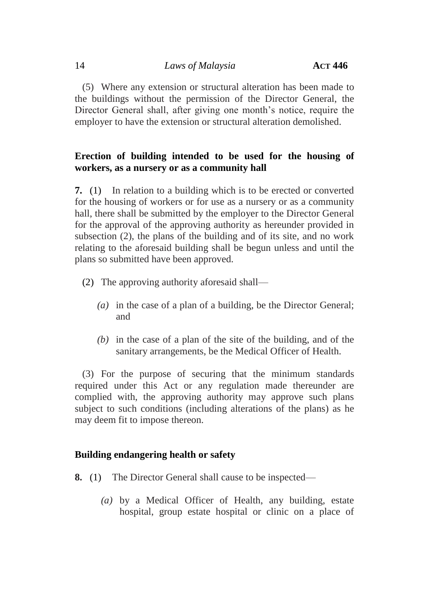(5) Where any extension or structural alteration has been made to the buildings without the permission of the Director General, the Director General shall, after giving one month's notice, require the employer to have the extension or structural alteration demolished.

# **Erection of building intended to be used for the housing of workers, as a nursery or as a community hall**

**7.** (1) In relation to a building which is to be erected or converted for the housing of workers or for use as a nursery or as a community hall, there shall be submitted by the employer to the Director General for the approval of the approving authority as hereunder provided in subsection (2), the plans of the building and of its site, and no work relating to the aforesaid building shall be begun unless and until the plans so submitted have been approved.

- (2) The approving authority aforesaid shall—
	- *(a)* in the case of a plan of a building, be the Director General; and
	- *(b)* in the case of a plan of the site of the building, and of the sanitary arrangements, be the Medical Officer of Health.

(3) For the purpose of securing that the minimum standards required under this Act or any regulation made thereunder are complied with, the approving authority may approve such plans subject to such conditions (including alterations of the plans) as he may deem fit to impose thereon.

# **Building endangering health or safety**

- **8.** (1) The Director General shall cause to be inspected—
	- *(a)* by a Medical Officer of Health, any building, estate hospital, group estate hospital or clinic on a place of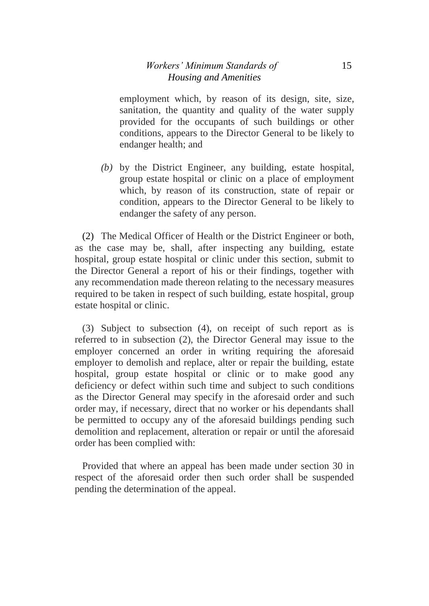## *Workers' Minimum Standards of* 15 *Housing and Amenities*

employment which, by reason of its design, site, size, sanitation, the quantity and quality of the water supply provided for the occupants of such buildings or other conditions, appears to the Director General to be likely to endanger health; and

*(b)* by the District Engineer, any building, estate hospital, group estate hospital or clinic on a place of employment which, by reason of its construction, state of repair or condition, appears to the Director General to be likely to endanger the safety of any person.

(2) The Medical Officer of Health or the District Engineer or both, as the case may be, shall, after inspecting any building, estate hospital, group estate hospital or clinic under this section, submit to the Director General a report of his or their findings, together with any recommendation made thereon relating to the necessary measures required to be taken in respect of such building, estate hospital, group estate hospital or clinic.

(3) Subject to subsection (4), on receipt of such report as is referred to in subsection (2), the Director General may issue to the employer concerned an order in writing requiring the aforesaid employer to demolish and replace, alter or repair the building, estate hospital, group estate hospital or clinic or to make good any deficiency or defect within such time and subject to such conditions as the Director General may specify in the aforesaid order and such order may, if necessary, direct that no worker or his dependants shall be permitted to occupy any of the aforesaid buildings pending such demolition and replacement, alteration or repair or until the aforesaid order has been complied with:

Provided that where an appeal has been made under section 30 in respect of the aforesaid order then such order shall be suspended pending the determination of the appeal.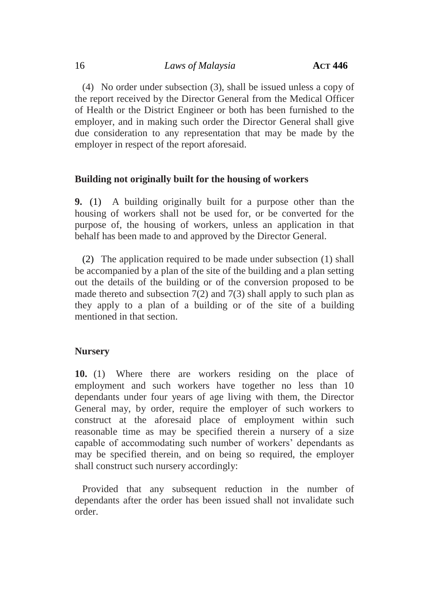(4) No order under subsection (3), shall be issued unless a copy of the report received by the Director General from the Medical Officer of Health or the District Engineer or both has been furnished to the employer, and in making such order the Director General shall give due consideration to any representation that may be made by the employer in respect of the report aforesaid.

#### **Building not originally built for the housing of workers**

**9.** (1) A building originally built for a purpose other than the housing of workers shall not be used for, or be converted for the purpose of, the housing of workers, unless an application in that behalf has been made to and approved by the Director General.

(2) The application required to be made under subsection (1) shall be accompanied by a plan of the site of the building and a plan setting out the details of the building or of the conversion proposed to be made thereto and subsection  $7(2)$  and  $7(3)$  shall apply to such plan as they apply to a plan of a building or of the site of a building mentioned in that section.

#### **Nursery**

**10.** (1) Where there are workers residing on the place of employment and such workers have together no less than 10 dependants under four years of age living with them, the Director General may, by order, require the employer of such workers to construct at the aforesaid place of employment within such reasonable time as may be specified therein a nursery of a size capable of accommodating such number of workers' dependants as may be specified therein, and on being so required, the employer shall construct such nursery accordingly:

Provided that any subsequent reduction in the number of dependants after the order has been issued shall not invalidate such order.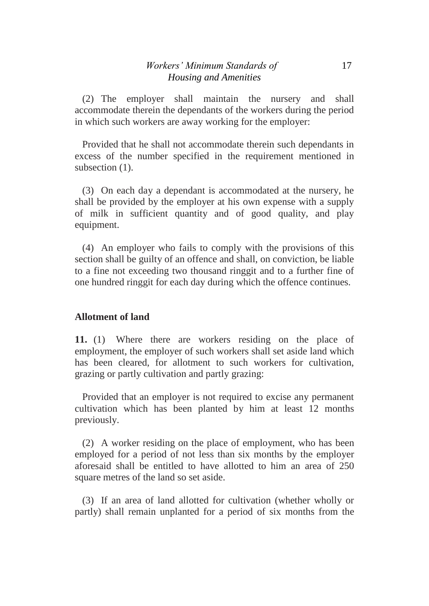(2) The employer shall maintain the nursery and shall accommodate therein the dependants of the workers during the period in which such workers are away working for the employer:

Provided that he shall not accommodate therein such dependants in excess of the number specified in the requirement mentioned in subsection  $(1)$ .

(3) On each day a dependant is accommodated at the nursery, he shall be provided by the employer at his own expense with a supply of milk in sufficient quantity and of good quality, and play equipment.

(4) An employer who fails to comply with the provisions of this section shall be guilty of an offence and shall, on conviction, be liable to a fine not exceeding two thousand ringgit and to a further fine of one hundred ringgit for each day during which the offence continues.

## **Allotment of land**

**11.** (1) Where there are workers residing on the place of employment, the employer of such workers shall set aside land which has been cleared, for allotment to such workers for cultivation, grazing or partly cultivation and partly grazing:

Provided that an employer is not required to excise any permanent cultivation which has been planted by him at least 12 months previously.

(2) A worker residing on the place of employment, who has been employed for a period of not less than six months by the employer aforesaid shall be entitled to have allotted to him an area of 250 square metres of the land so set aside.

(3) If an area of land allotted for cultivation (whether wholly or partly) shall remain unplanted for a period of six months from the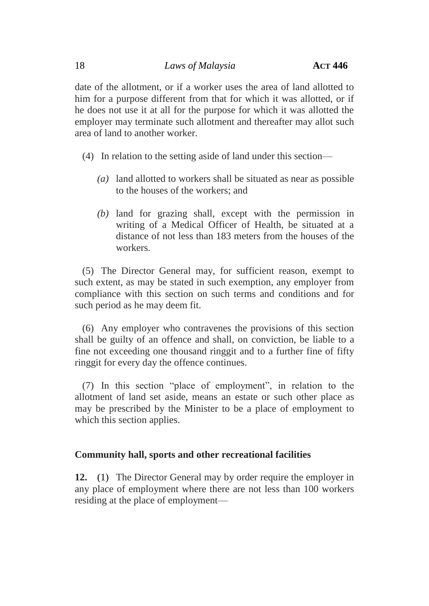date of the allotment, or if a worker uses the area of land allotted to him for a purpose different from that for which it was allotted, or if he does not use it at all for the purpose for which it was allotted the employer may terminate such allotment and thereafter may allot such area of land to another worker.

- (4) In relation to the setting aside of land under this section—
	- *(a)* land allotted to workers shall be situated as near as possible to the houses of the workers; and
	- *(b)* land for grazing shall, except with the permission in writing of a Medical Officer of Health, be situated at a distance of not less than 183 meters from the houses of the workers.

(5) The Director General may, for sufficient reason, exempt to such extent, as may be stated in such exemption, any employer from compliance with this section on such terms and conditions and for such period as he may deem fit.

(6) Any employer who contravenes the provisions of this section shall be guilty of an offence and shall, on conviction, be liable to a fine not exceeding one thousand ringgit and to a further fine of fifty ringgit for every day the offence continues.

(7) In this section "place of employment", in relation to the allotment of land set aside, means an estate or such other place as may be prescribed by the Minister to be a place of employment to which this section applies.

## **Community hall, sports and other recreational facilities**

**12.** (1) The Director General may by order require the employer in any place of employment where there are not less than 100 workers residing at the place of employment—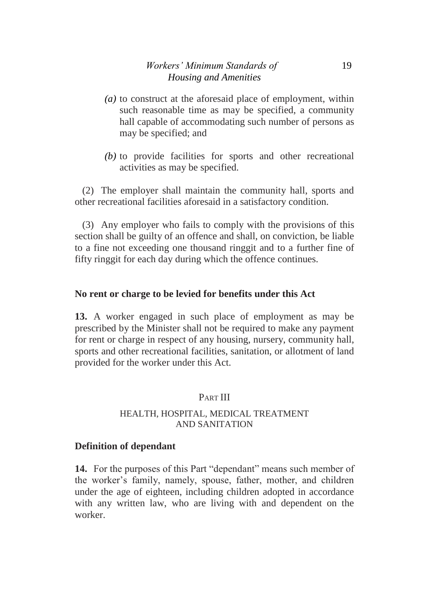- *(a)* to construct at the aforesaid place of employment, within such reasonable time as may be specified, a community hall capable of accommodating such number of persons as may be specified; and
- *(b)* to provide facilities for sports and other recreational activities as may be specified.

(2) The employer shall maintain the community hall, sports and other recreational facilities aforesaid in a satisfactory condition.

(3) Any employer who fails to comply with the provisions of this section shall be guilty of an offence and shall, on conviction, be liable to a fine not exceeding one thousand ringgit and to a further fine of fifty ringgit for each day during which the offence continues.

## **No rent or charge to be levied for benefits under this Act**

**13.** A worker engaged in such place of employment as may be prescribed by the Minister shall not be required to make any payment for rent or charge in respect of any housing, nursery, community hall, sports and other recreational facilities, sanitation, or allotment of land provided for the worker under this Act.

# PART III

#### HEALTH, HOSPITAL, MEDICAL TREATMENT AND SANITATION

## **Definition of dependant**

**14.** For the purposes of this Part "dependant" means such member of the worker's family, namely, spouse, father, mother, and children under the age of eighteen, including children adopted in accordance with any written law, who are living with and dependent on the worker.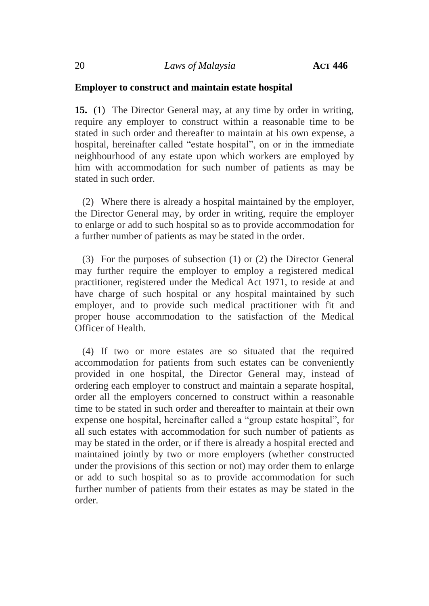#### **Employer to construct and maintain estate hospital**

**15.** (1) The Director General may, at any time by order in writing, require any employer to construct within a reasonable time to be stated in such order and thereafter to maintain at his own expense, a hospital, hereinafter called "estate hospital", on or in the immediate neighbourhood of any estate upon which workers are employed by him with accommodation for such number of patients as may be stated in such order.

(2) Where there is already a hospital maintained by the employer, the Director General may, by order in writing, require the employer to enlarge or add to such hospital so as to provide accommodation for a further number of patients as may be stated in the order.

(3) For the purposes of subsection (1) or (2) the Director General may further require the employer to employ a registered medical practitioner, registered under the Medical Act 1971, to reside at and have charge of such hospital or any hospital maintained by such employer, and to provide such medical practitioner with fit and proper house accommodation to the satisfaction of the Medical Officer of Health.

(4) If two or more estates are so situated that the required accommodation for patients from such estates can be conveniently provided in one hospital, the Director General may, instead of ordering each employer to construct and maintain a separate hospital, order all the employers concerned to construct within a reasonable time to be stated in such order and thereafter to maintain at their own expense one hospital, hereinafter called a "group estate hospital", for all such estates with accommodation for such number of patients as may be stated in the order, or if there is already a hospital erected and maintained jointly by two or more employers (whether constructed under the provisions of this section or not) may order them to enlarge or add to such hospital so as to provide accommodation for such further number of patients from their estates as may be stated in the order.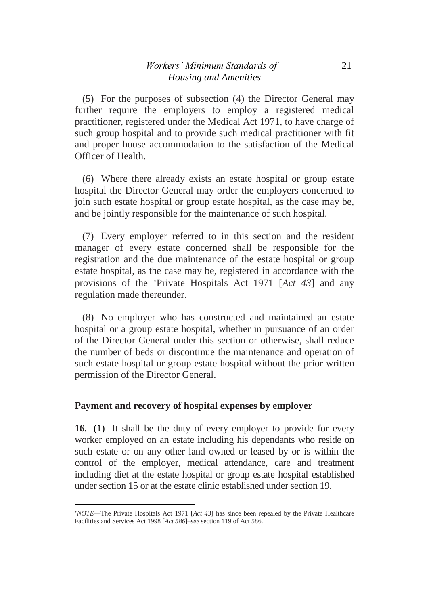## *Workers' Minimum Standards of* 21 *Housing and Amenities*

(5) For the purposes of subsection (4) the Director General may further require the employers to employ a registered medical practitioner, registered under the Medical Act 1971, to have charge of such group hospital and to provide such medical practitioner with fit and proper house accommodation to the satisfaction of the Medical Officer of Health.

(6) Where there already exists an estate hospital or group estate hospital the Director General may order the employers concerned to join such estate hospital or group estate hospital, as the case may be, and be jointly responsible for the maintenance of such hospital.

(7) Every employer referred to in this section and the resident manager of every estate concerned shall be responsible for the registration and the due maintenance of the estate hospital or group estate hospital, as the case may be, registered in accordance with the provisions of the Private Hospitals Act 1971 [*Act 43*] and any regulation made thereunder.

(8) No employer who has constructed and maintained an estate hospital or a group estate hospital, whether in pursuance of an order of the Director General under this section or otherwise, shall reduce the number of beds or discontinue the maintenance and operation of such estate hospital or group estate hospital without the prior written permission of the Director General.

## **Payment and recovery of hospital expenses by employer**

**.** 

**16.** (1) It shall be the duty of every employer to provide for every worker employed on an estate including his dependants who reside on such estate or on any other land owned or leased by or is within the control of the employer, medical attendance, care and treatment including diet at the estate hospital or group estate hospital established under section 15 or at the estate clinic established under section 19.

*NOTE*—The Private Hospitals Act 1971 [*Act 43*] has since been repealed by the Private Healthcare Facilities and Services Act 1998 [*Act 586*]–*see* section 119 of Act 586.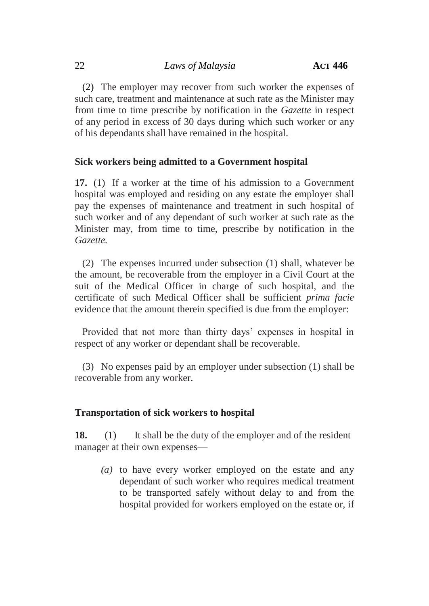(2) The employer may recover from such worker the expenses of such care, treatment and maintenance at such rate as the Minister may from time to time prescribe by notification in the *Gazette* in respect of any period in excess of 30 days during which such worker or any of his dependants shall have remained in the hospital.

## **Sick workers being admitted to a Government hospital**

**17.** (1) If a worker at the time of his admission to a Government hospital was employed and residing on any estate the employer shall pay the expenses of maintenance and treatment in such hospital of such worker and of any dependant of such worker at such rate as the Minister may, from time to time, prescribe by notification in the *Gazette.*

(2) The expenses incurred under subsection (1) shall, whatever be the amount, be recoverable from the employer in a Civil Court at the suit of the Medical Officer in charge of such hospital, and the certificate of such Medical Officer shall be sufficient *prima facie*  evidence that the amount therein specified is due from the employer:

Provided that not more than thirty days' expenses in hospital in respect of any worker or dependant shall be recoverable.

(3) No expenses paid by an employer under subsection (1) shall be recoverable from any worker.

## **Transportation of sick workers to hospital**

**18.** (1) It shall be the duty of the employer and of the resident manager at their own expenses—

*(a)* to have every worker employed on the estate and any dependant of such worker who requires medical treatment to be transported safely without delay to and from the hospital provided for workers employed on the estate or, if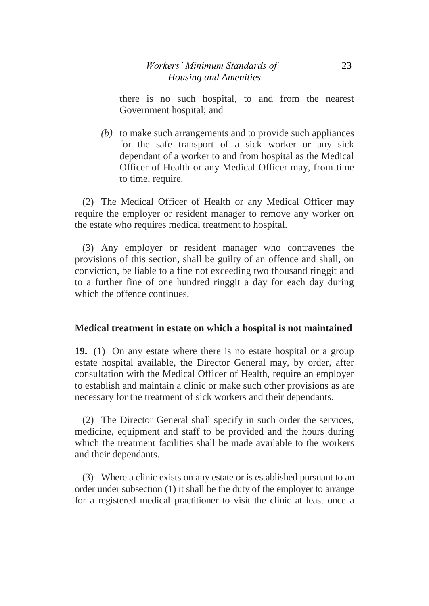there is no such hospital, to and from the nearest Government hospital; and

*(b)* to make such arrangements and to provide such appliances for the safe transport of a sick worker or any sick dependant of a worker to and from hospital as the Medical Officer of Health or any Medical Officer may, from time to time, require.

(2) The Medical Officer of Health or any Medical Officer may require the employer or resident manager to remove any worker on the estate who requires medical treatment to hospital.

(3) Any employer or resident manager who contravenes the provisions of this section, shall be guilty of an offence and shall, on conviction, be liable to a fine not exceeding two thousand ringgit and to a further fine of one hundred ringgit a day for each day during which the offence continues.

## **Medical treatment in estate on which a hospital is not maintained**

**19.** (1) On any estate where there is no estate hospital or a group estate hospital available, the Director General may, by order, after consultation with the Medical Officer of Health, require an employer to establish and maintain a clinic or make such other provisions as are necessary for the treatment of sick workers and their dependants.

(2) The Director General shall specify in such order the services, medicine, equipment and staff to be provided and the hours during which the treatment facilities shall be made available to the workers and their dependants.

(3) Where a clinic exists on any estate or is established pursuant to an order under subsection (1) it shall be the duty of the employer to arrange for a registered medical practitioner to visit the clinic at least once a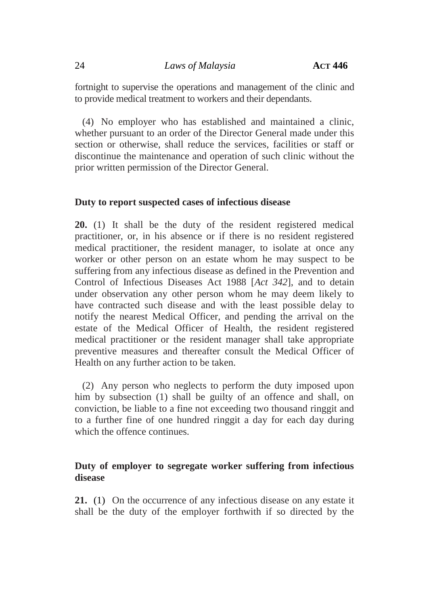fortnight to supervise the operations and management of the clinic and to provide medical treatment to workers and their dependants.

(4) No employer who has established and maintained a clinic, whether pursuant to an order of the Director General made under this section or otherwise, shall reduce the services, facilities or staff or discontinue the maintenance and operation of such clinic without the prior written permission of the Director General.

#### **Duty to report suspected cases of infectious disease**

**20.** (1) It shall be the duty of the resident registered medical practitioner, or, in his absence or if there is no resident registered medical practitioner, the resident manager, to isolate at once any worker or other person on an estate whom he may suspect to be suffering from any infectious disease as defined in the Prevention and Control of Infectious Diseases Act 1988 [*Act 342*], and to detain under observation any other person whom he may deem likely to have contracted such disease and with the least possible delay to notify the nearest Medical Officer, and pending the arrival on the estate of the Medical Officer of Health, the resident registered medical practitioner or the resident manager shall take appropriate preventive measures and thereafter consult the Medical Officer of Health on any further action to be taken.

(2) Any person who neglects to perform the duty imposed upon him by subsection (1) shall be guilty of an offence and shall, on conviction, be liable to a fine not exceeding two thousand ringgit and to a further fine of one hundred ringgit a day for each day during which the offence continues.

## **Duty of employer to segregate worker suffering from infectious disease**

**21.** (1) On the occurrence of any infectious disease on any estate it shall be the duty of the employer forthwith if so directed by the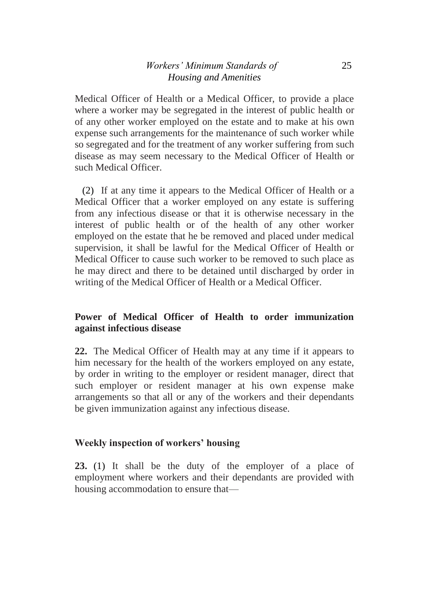## *Workers' Minimum Standards of* 25 *Housing and Amenities*

Medical Officer of Health or a Medical Officer, to provide a place where a worker may be segregated in the interest of public health or of any other worker employed on the estate and to make at his own expense such arrangements for the maintenance of such worker while so segregated and for the treatment of any worker suffering from such disease as may seem necessary to the Medical Officer of Health or such Medical Officer.

(2) If at any time it appears to the Medical Officer of Health or a Medical Officer that a worker employed on any estate is suffering from any infectious disease or that it is otherwise necessary in the interest of public health or of the health of any other worker employed on the estate that he be removed and placed under medical supervision, it shall be lawful for the Medical Officer of Health or Medical Officer to cause such worker to be removed to such place as he may direct and there to be detained until discharged by order in writing of the Medical Officer of Health or a Medical Officer.

# **Power of Medical Officer of Health to order immunization against infectious disease**

**22.** The Medical Officer of Health may at any time if it appears to him necessary for the health of the workers employed on any estate, by order in writing to the employer or resident manager, direct that such employer or resident manager at his own expense make arrangements so that all or any of the workers and their dependants be given immunization against any infectious disease.

# **Weekly inspection of workers' housing**

**23.** (1) It shall be the duty of the employer of a place of employment where workers and their dependants are provided with housing accommodation to ensure that—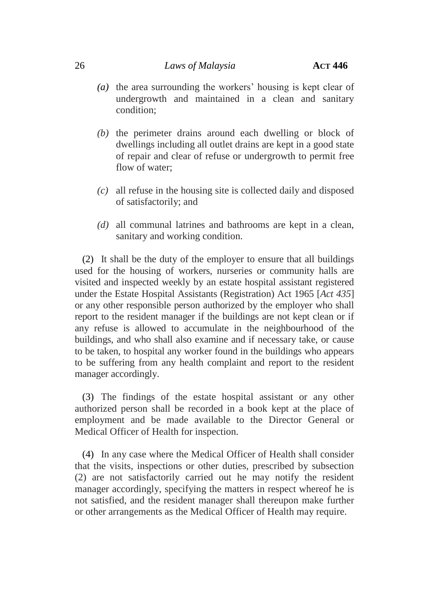#### 26 *Laws of Malaysia* **ACT 446**

- *(a)* the area surrounding the workers' housing is kept clear of undergrowth and maintained in a clean and sanitary condition;
- *(b)* the perimeter drains around each dwelling or block of dwellings including all outlet drains are kept in a good state of repair and clear of refuse or undergrowth to permit free flow of water;
- *(c)* all refuse in the housing site is collected daily and disposed of satisfactorily; and
- *(d)* all communal latrines and bathrooms are kept in a clean, sanitary and working condition.

(2) It shall be the duty of the employer to ensure that all buildings used for the housing of workers, nurseries or community halls are visited and inspected weekly by an estate hospital assistant registered under the Estate Hospital Assistants (Registration) Act 1965 [*Act 435*] or any other responsible person authorized by the employer who shall report to the resident manager if the buildings are not kept clean or if any refuse is allowed to accumulate in the neighbourhood of the buildings, and who shall also examine and if necessary take, or cause to be taken, to hospital any worker found in the buildings who appears to be suffering from any health complaint and report to the resident manager accordingly.

(3) The findings of the estate hospital assistant or any other authorized person shall be recorded in a book kept at the place of employment and be made available to the Director General or Medical Officer of Health for inspection.

(4) In any case where the Medical Officer of Health shall consider that the visits, inspections or other duties, prescribed by subsection (2) are not satisfactorily carried out he may notify the resident manager accordingly, specifying the matters in respect whereof he is not satisfied, and the resident manager shall thereupon make further or other arrangements as the Medical Officer of Health may require.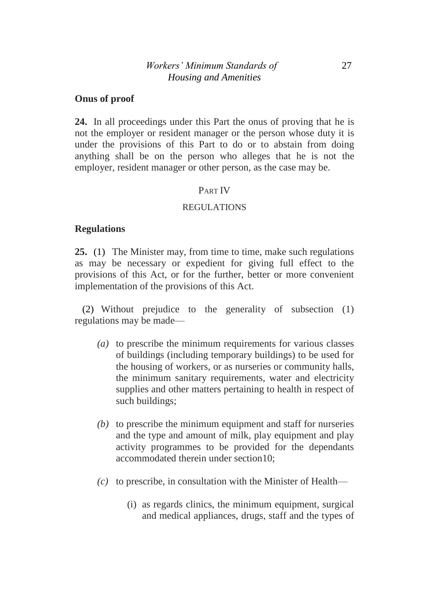#### **Onus of proof**

**24.** In all proceedings under this Part the onus of proving that he is not the employer or resident manager or the person whose duty it is under the provisions of this Part to do or to abstain from doing anything shall be on the person who alleges that he is not the employer, resident manager or other person, as the case may be.

#### PART IV

#### REGULATIONS

#### **Regulations**

**25.** (1) The Minister may, from time to time, make such regulations as may be necessary or expedient for giving full effect to the provisions of this Act, or for the further, better or more convenient implementation of the provisions of this Act.

(2) Without prejudice to the generality of subsection (1) regulations may be made—

- *(a)* to prescribe the minimum requirements for various classes of buildings (including temporary buildings) to be used for the housing of workers, or as nurseries or community halls, the minimum sanitary requirements, water and electricity supplies and other matters pertaining to health in respect of such buildings;
- *(b)* to prescribe the minimum equipment and staff for nurseries and the type and amount of milk, play equipment and play activity programmes to be provided for the dependants accommodated therein under section10;
- *(c)* to prescribe, in consultation with the Minister of Health—
	- (i) as regards clinics, the minimum equipment, surgical and medical appliances, drugs, staff and the types of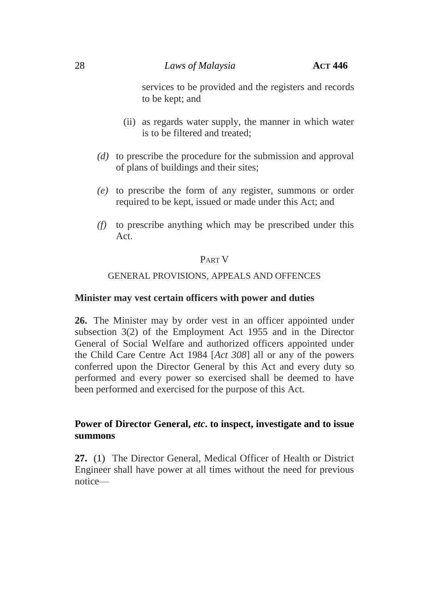services to be provided and the registers and records to be kept; and

- (ii) as regards water supply, the manner in which water is to be filtered and treated;
- *(d)* to prescribe the procedure for the submission and approval of plans of buildings and their sites;
- *(e)* to prescribe the form of any register, summons or order required to be kept, issued or made under this Act; and
- *(f)* to prescribe anything which may be prescribed under this Act.

# PART V

## GENERAL PROVISIONS, APPEALS AND OFFENCES

## **Minister may vest certain officers with power and duties**

**26.** The Minister may by order vest in an officer appointed under subsection 3(2) of the Employment Act 1955 and in the Director General of Social Welfare and authorized officers appointed under the Child Care Centre Act 1984 [*Act 308*] all or any of the powers conferred upon the Director General by this Act and every duty so performed and every power so exercised shall be deemed to have been performed and exercised for the purpose of this Act.

# **Power of Director General,** *etc***. to inspect, investigate and to issue summons**

**27.** (1) The Director General, Medical Officer of Health or District Engineer shall have power at all times without the need for previous notice—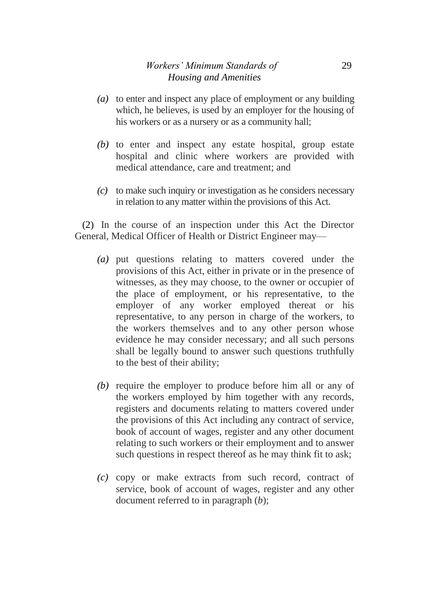- *(a)* to enter and inspect any place of employment or any building which, he believes, is used by an employer for the housing of his workers or as a nursery or as a community hall;
- *(b)* to enter and inspect any estate hospital, group estate hospital and clinic where workers are provided with medical attendance, care and treatment; and
- *(c)* to make such inquiry or investigation as he considers necessary in relation to any matter within the provisions of this Act.

(2) In the course of an inspection under this Act the Director General, Medical Officer of Health or District Engineer may—

- *(a)* put questions relating to matters covered under the provisions of this Act, either in private or in the presence of witnesses, as they may choose, to the owner or occupier of the place of employment, or his representative, to the employer of any worker employed thereat or his representative, to any person in charge of the workers, to the workers themselves and to any other person whose evidence he may consider necessary; and all such persons shall be legally bound to answer such questions truthfully to the best of their ability;
- *(b)* require the employer to produce before him all or any of the workers employed by him together with any records, registers and documents relating to matters covered under the provisions of this Act including any contract of service, book of account of wages, register and any other document relating to such workers or their employment and to answer such questions in respect thereof as he may think fit to ask;
- *(c)* copy or make extracts from such record, contract of service, book of account of wages, register and any other document referred to in paragraph (*b*);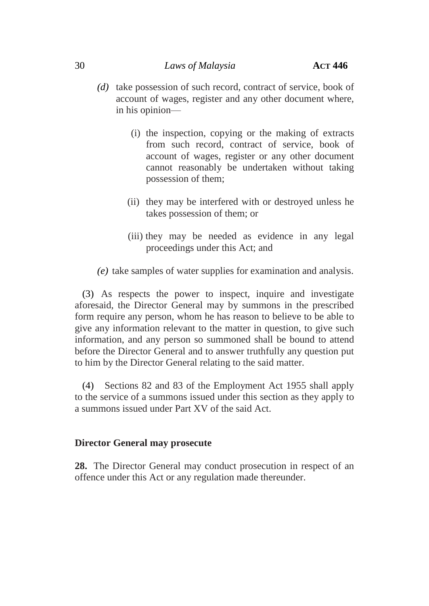- *(d)* take possession of such record, contract of service, book of account of wages, register and any other document where, in his opinion—
	- (i) the inspection, copying or the making of extracts from such record, contract of service, book of account of wages, register or any other document cannot reasonably be undertaken without taking possession of them;
	- (ii) they may be interfered with or destroyed unless he takes possession of them; or
	- (iii) they may be needed as evidence in any legal proceedings under this Act; and
- *(e)* take samples of water supplies for examination and analysis.

(3) As respects the power to inspect, inquire and investigate aforesaid, the Director General may by summons in the prescribed form require any person, whom he has reason to believe to be able to give any information relevant to the matter in question, to give such information, and any person so summoned shall be bound to attend before the Director General and to answer truthfully any question put to him by the Director General relating to the said matter.

(4) Sections 82 and 83 of the Employment Act 1955 shall apply to the service of a summons issued under this section as they apply to a summons issued under Part XV of the said Act.

#### **Director General may prosecute**

**28.** The Director General may conduct prosecution in respect of an offence under this Act or any regulation made thereunder.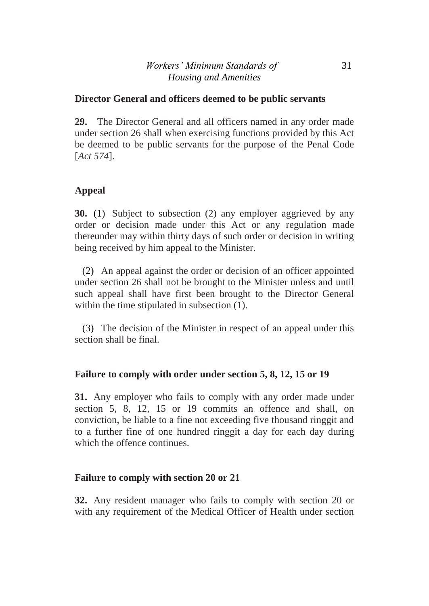## **Director General and officers deemed to be public servants**

**29.** The Director General and all officers named in any order made under section 26 shall when exercising functions provided by this Act be deemed to be public servants for the purpose of the Penal Code [*Act 574*].

# **Appeal**

**30.** (1) Subject to subsection (2) any employer aggrieved by any order or decision made under this Act or any regulation made thereunder may within thirty days of such order or decision in writing being received by him appeal to the Minister.

(2) An appeal against the order or decision of an officer appointed under section 26 shall not be brought to the Minister unless and until such appeal shall have first been brought to the Director General within the time stipulated in subsection (1).

(3) The decision of the Minister in respect of an appeal under this section shall be final.

# **Failure to comply with order under section 5, 8, 12, 15 or 19**

**31.** Any employer who fails to comply with any order made under section 5, 8, 12, 15 or 19 commits an offence and shall, on conviction, be liable to a fine not exceeding five thousand ringgit and to a further fine of one hundred ringgit a day for each day during which the offence continues.

## **Failure to comply with section 20 or 21**

**32.** Any resident manager who fails to comply with section 20 or with any requirement of the Medical Officer of Health under section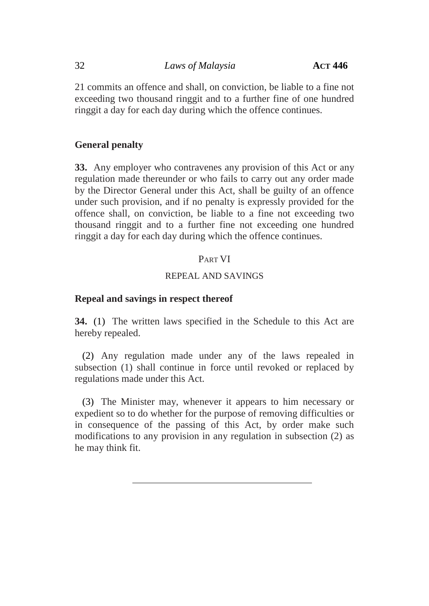21 commits an offence and shall, on conviction, be liable to a fine not exceeding two thousand ringgit and to a further fine of one hundred ringgit a day for each day during which the offence continues.

# **General penalty**

**33.** Any employer who contravenes any provision of this Act or any regulation made thereunder or who fails to carry out any order made by the Director General under this Act, shall be guilty of an offence under such provision, and if no penalty is expressly provided for the offence shall, on conviction, be liable to a fine not exceeding two thousand ringgit and to a further fine not exceeding one hundred ringgit a day for each day during which the offence continues.

# PART VI

## REPEAL AND SAVINGS

# **Repeal and savings in respect thereof**

**34.** (1) The written laws specified in the Schedule to this Act are hereby repealed.

(2) Any regulation made under any of the laws repealed in subsection (1) shall continue in force until revoked or replaced by regulations made under this Act.

(3) The Minister may, whenever it appears to him necessary or expedient so to do whether for the purpose of removing difficulties or in consequence of the passing of this Act, by order make such modifications to any provision in any regulation in subsection (2) as he may think fit.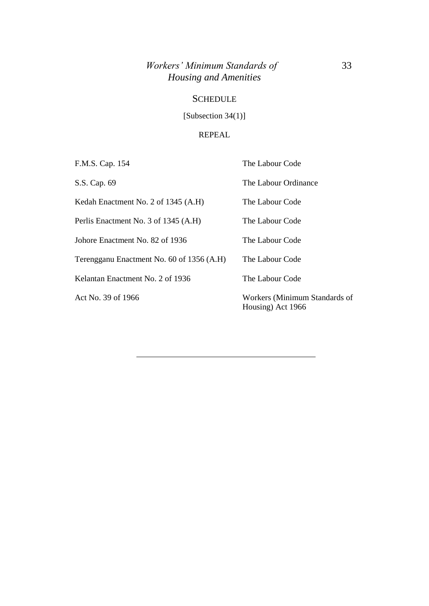# *Workers' Minimum Standards of* 33 *Housing and Amenities*

## **SCHEDULE**

[Subsection 34(1)]

#### REPEAL

| F.M.S. Cap. 154                           | The Labour Code                                    |  |  |
|-------------------------------------------|----------------------------------------------------|--|--|
| S.S. Cap. 69                              | The Labour Ordinance                               |  |  |
| Kedah Enactment No. 2 of 1345 (A.H)       | The Labour Code                                    |  |  |
| Perlis Enactment No. 3 of 1345 (A.H)      | The Labour Code                                    |  |  |
| Johore Enactment No. 82 of 1936           | The Labour Code                                    |  |  |
| Terengganu Enactment No. 60 of 1356 (A.H) | The Labour Code                                    |  |  |
| Kelantan Enactment No. 2 of 1936          | The Labour Code                                    |  |  |
| Act No. 39 of 1966                        | Workers (Minimum Standards of<br>Housing) Act 1966 |  |  |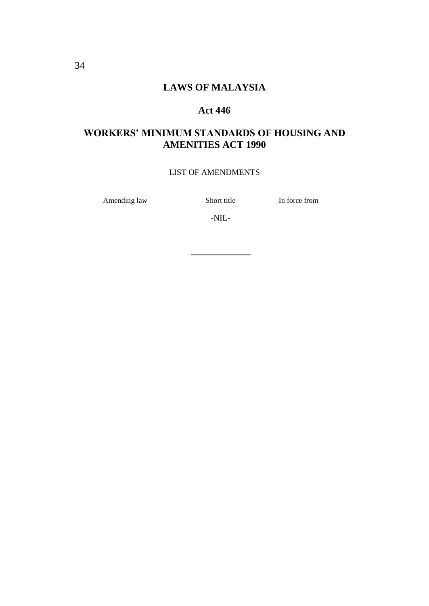# **LAWS OF MALAYSIA**

#### **Act 446**

# **WORKERS' MINIMUM STANDARDS OF HOUSING AND AMENITIES ACT 1990**

#### LIST OF AMENDMENTS

Amending law Short title In force from

-NIL-